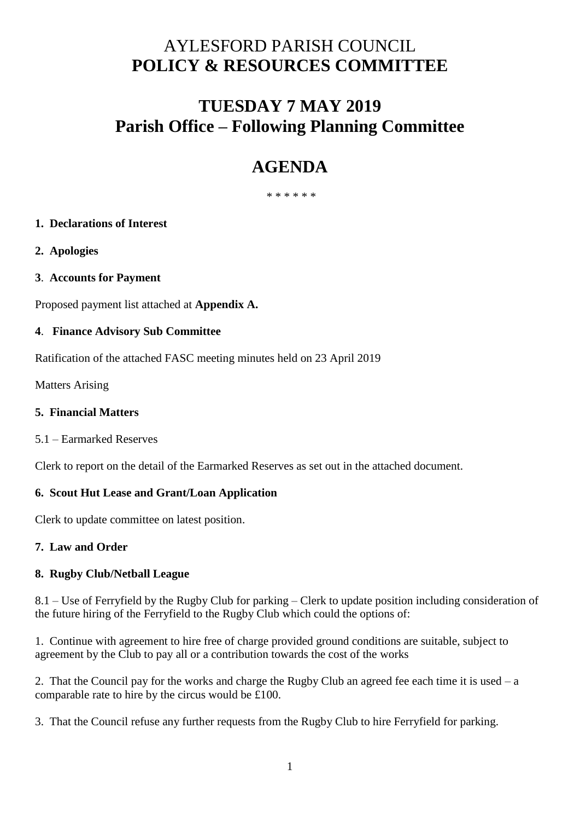# AYLESFORD PARISH COUNCIL **POLICY & RESOURCES COMMITTEE**

## **TUESDAY 7 MAY 2019 Parish Office – Following Planning Committee**

# **AGENDA**

\* \* \* \* \* \*

### **1. Declarations of Interest**

- **2. Apologies**
- **3**. **Accounts for Payment**

Proposed payment list attached at **Appendix A.** 

### **4**. **Finance Advisory Sub Committee**

Ratification of the attached FASC meeting minutes held on 23 April 2019

Matters Arising

### **5. Financial Matters**

5.1 – Earmarked Reserves

Clerk to report on the detail of the Earmarked Reserves as set out in the attached document.

### **6. Scout Hut Lease and Grant/Loan Application**

Clerk to update committee on latest position.

### **7. Law and Order**

### **8. Rugby Club/Netball League**

8.1 – Use of Ferryfield by the Rugby Club for parking – Clerk to update position including consideration of the future hiring of the Ferryfield to the Rugby Club which could the options of:

1. Continue with agreement to hire free of charge provided ground conditions are suitable, subject to agreement by the Club to pay all or a contribution towards the cost of the works

2. That the Council pay for the works and charge the Rugby Club an agreed fee each time it is used – a comparable rate to hire by the circus would be £100.

3. That the Council refuse any further requests from the Rugby Club to hire Ferryfield for parking.